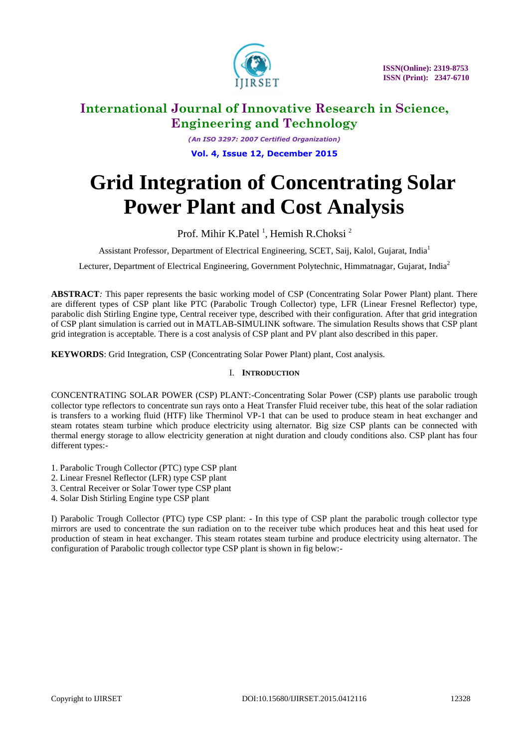

*(An ISO 3297: 2007 Certified Organization)* **Vol. 4, Issue 12, December 2015**

# **Grid Integration of Concentrating Solar Power Plant and Cost Analysis**

Prof. Mihir K.Patel<sup>1</sup>, Hemish R.Choksi<sup>2</sup>

Assistant Professor, Department of Electrical Engineering, SCET, Saij, Kalol, Gujarat, India<sup>1</sup>

Lecturer, Department of Electrical Engineering, Government Polytechnic, Himmatnagar, Gujarat, India<sup>2</sup>

**ABSTRACT***:* This paper represents the basic working model of CSP (Concentrating Solar Power Plant) plant. There are different types of CSP plant like PTC (Parabolic Trough Collector) type, LFR (Linear Fresnel Reflector) type, parabolic dish Stirling Engine type, Central receiver type, described with their configuration. After that grid integration of CSP plant simulation is carried out in MATLAB-SIMULINK software. The simulation Results shows that CSP plant grid integration is acceptable. There is a cost analysis of CSP plant and PV plant also described in this paper.

**KEYWORDS**: Grid Integration, CSP (Concentrating Solar Power Plant) plant, Cost analysis.

### I. **INTRODUCTION**

CONCENTRATING SOLAR POWER (CSP) PLANT:-Concentrating Solar Power (CSP) plants use parabolic trough collector type reflectors to concentrate sun rays onto a Heat Transfer Fluid receiver tube, this heat of the solar radiation is transfers to a working fluid (HTF) like Therminol VP-1 that can be used to produce steam in heat exchanger and steam rotates steam turbine which produce electricity using alternator. Big size CSP plants can be connected with thermal energy storage to allow electricity generation at night duration and cloudy conditions also. CSP plant has four different types:-

- 1. Parabolic Trough Collector (PTC) type CSP plant
- 2. Linear Fresnel Reflector (LFR) type CSP plant
- 3. Central Receiver or Solar Tower type CSP plant
- 4. Solar Dish Stirling Engine type CSP plant

I) Parabolic Trough Collector (PTC) type CSP plant: - In this type of CSP plant the parabolic trough collector type mirrors are used to concentrate the sun radiation on to the receiver tube which produces heat and this heat used for production of steam in heat exchanger. This steam rotates steam turbine and produce electricity using alternator. The configuration of Parabolic trough collector type CSP plant is shown in fig below:-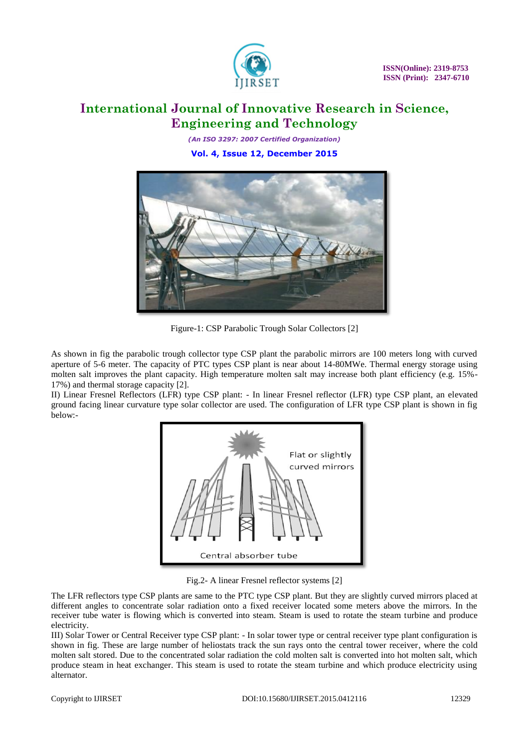

*(An ISO 3297: 2007 Certified Organization)* **Vol. 4, Issue 12, December 2015**



Figure-1: CSP Parabolic Trough Solar Collectors [2]

As shown in fig the parabolic trough collector type CSP plant the parabolic mirrors are 100 meters long with curved aperture of 5-6 meter. The capacity of PTC types CSP plant is near about 14-80MWe. Thermal energy storage using molten salt improves the plant capacity. High temperature molten salt may increase both plant efficiency (e.g. 15%- 17%) and thermal storage capacity [2].

II) Linear Fresnel Reflectors (LFR) type CSP plant: - In linear Fresnel reflector (LFR) type CSP plant, an elevated ground facing linear curvature type solar collector are used. The configuration of LFR type CSP plant is shown in fig below:-



Fig.2- A linear Fresnel reflector systems [2]

The LFR reflectors type CSP plants are same to the PTC type CSP plant. But they are slightly curved mirrors placed at different angles to concentrate solar radiation onto a fixed receiver located some meters above the mirrors. In the receiver tube water is flowing which is converted into steam. Steam is used to rotate the steam turbine and produce electricity.

III) Solar Tower or Central Receiver type CSP plant: - In solar tower type or central receiver type plant configuration is shown in fig. These are large number of heliostats track the sun rays onto the central tower receiver, where the cold molten salt stored. Due to the concentrated solar radiation the cold molten salt is converted into hot molten salt, which produce steam in heat exchanger. This steam is used to rotate the steam turbine and which produce electricity using alternator.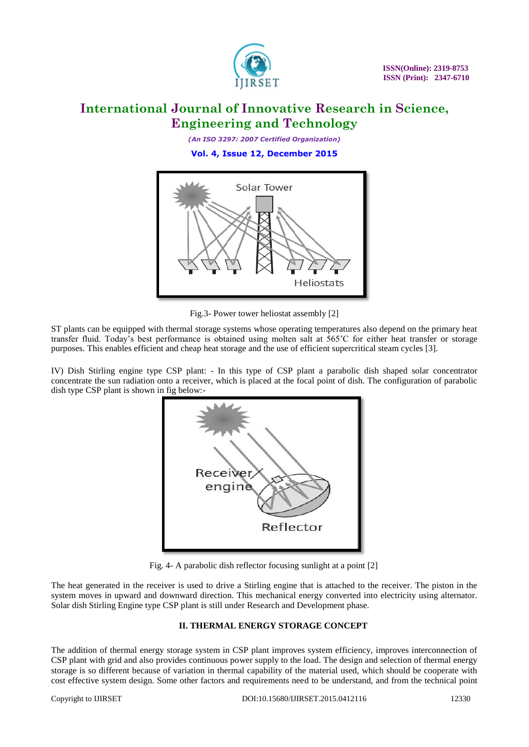

*(An ISO 3297: 2007 Certified Organization)* **Vol. 4, Issue 12, December 2015**



Fig.3- Power tower heliostat assembly [2]

ST plants can be equipped with thermal storage systems whose operating temperatures also depend on the primary heat transfer fluid. Today's best performance is obtained using molten salt at 565'C for either heat transfer or storage purposes. This enables efficient and cheap heat storage and the use of efficient supercritical steam cycles [3].

IV) Dish Stirling engine type CSP plant: - In this type of CSP plant a parabolic dish shaped solar concentrator concentrate the sun radiation onto a receiver, which is placed at the focal point of dish. The configuration of parabolic dish type CSP plant is shown in fig below:-



Fig. 4- A parabolic dish reflector focusing sunlight at a point [2]

The heat generated in the receiver is used to drive a Stirling engine that is attached to the receiver. The piston in the system moves in upward and downward direction. This mechanical energy converted into electricity using alternator. Solar dish Stirling Engine type CSP plant is still under Research and Development phase.

### **II. THERMAL ENERGY STORAGE CONCEPT**

The addition of thermal energy storage system in CSP plant improves system efficiency, improves interconnection of CSP plant with grid and also provides continuous power supply to the load. The design and selection of thermal energy storage is so different because of variation in thermal capability of the material used, which should be cooperate with cost effective system design. Some other factors and requirements need to be understand, and from the technical point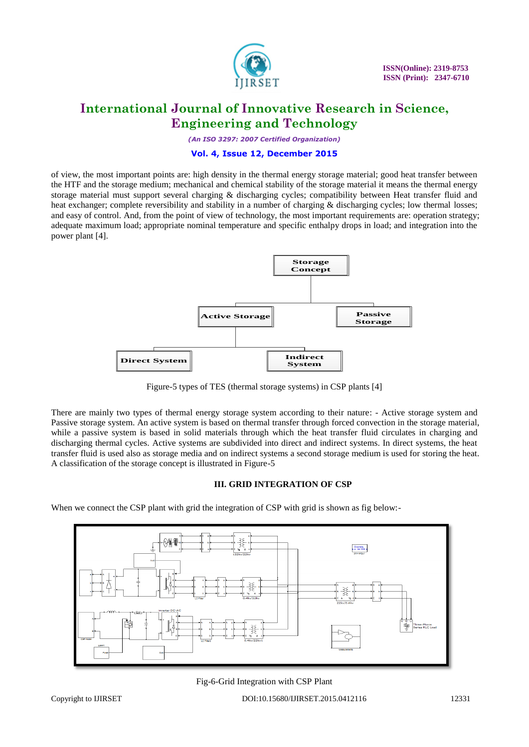

*(An ISO 3297: 2007 Certified Organization)*

#### **Vol. 4, Issue 12, December 2015**

of view, the most important points are: high density in the thermal energy storage material; good heat transfer between the HTF and the storage medium; mechanical and chemical stability of the storage material it means the thermal energy storage material must support several charging & discharging cycles; compatibility between Heat transfer fluid and heat exchanger; complete reversibility and stability in a number of charging & discharging cycles; low thermal losses; and easy of control. And, from the point of view of technology, the most important requirements are: operation strategy; adequate maximum load; appropriate nominal temperature and specific enthalpy drops in load; and integration into the power plant [4].



Figure-5 types of TES (thermal storage systems) in CSP plants [4]

There are mainly two types of thermal energy storage system according to their nature: - Active storage system and Passive storage system. An active system is based on thermal transfer through forced convection in the storage material, while a passive system is based in solid materials through which the heat transfer fluid circulates in charging and discharging thermal cycles. Active systems are subdivided into direct and indirect systems. In direct systems, the heat transfer fluid is used also as storage media and on indirect systems a second storage medium is used for storing the heat. A classification of the storage concept is illustrated in Figure-5

### **III. GRID INTEGRATION OF CSP**

When we connect the CSP plant with grid the integration of CSP with grid is shown as fig below:-



Fig-6-Grid Integration with CSP Plant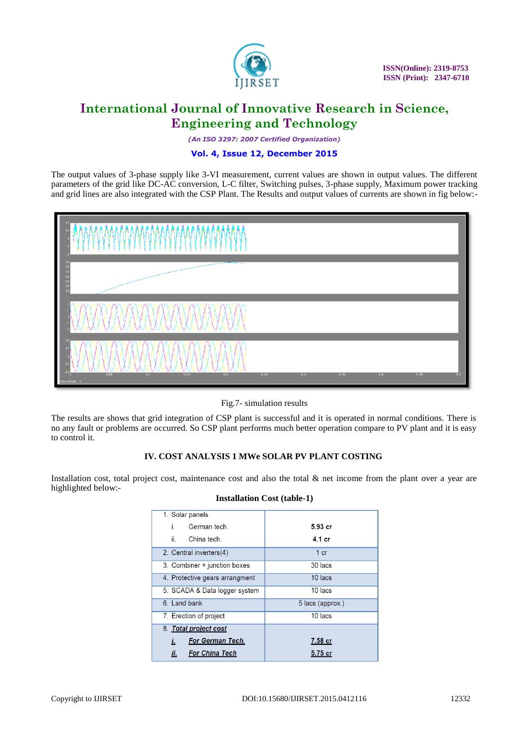

*(An ISO 3297: 2007 Certified Organization)*

### **Vol. 4, Issue 12, December 2015**

The output values of 3-phase supply like 3-VI measurement, current values are shown in output values. The different parameters of the grid like DC-AC conversion, L-C filter, Switching pulses, 3-phase supply, Maximum power tracking and grid lines are also integrated with the CSP Plant. The Results and output values of currents are shown in fig below:-



Fig.7- simulation results

The results are shows that grid integration of CSP plant is successful and it is operated in normal conditions. There is no any fault or problems are occurred. So CSP plant performs much better operation compare to PV plant and it is easy to control it.

#### **IV. COST ANALYSIS 1 MWe SOLAR PV PLANT COSTING**

Installation cost, total project cost, maintenance cost and also the total & net income from the plant over a year are highlighted below:-

| 1. Solar panels                |                  |
|--------------------------------|------------------|
| German tech.<br>i.             | $5.93$ cr        |
| ii -<br>China tech.            | 4.1 cr           |
| 2. Central inverters(4)        | 1 <sub>cr</sub>  |
| 3. Combiner + junction boxes   | 30 lacs          |
| 4. Protective gears arrangment | 10 lacs          |
| 5. SCADA & Data logger system  | 10 lacs          |
| 6. Land bank                   | 5 lacs (approx.) |
| 7. Erection of project         | 10 lacs          |
| 8. Total project cost          |                  |
| <b>For German Tech.</b><br>Ĺ.  | 7.58 cr          |
| Îİ.<br><b>For China Tech</b>   | 5.75 cr          |

#### **Installation Cost (table-1)**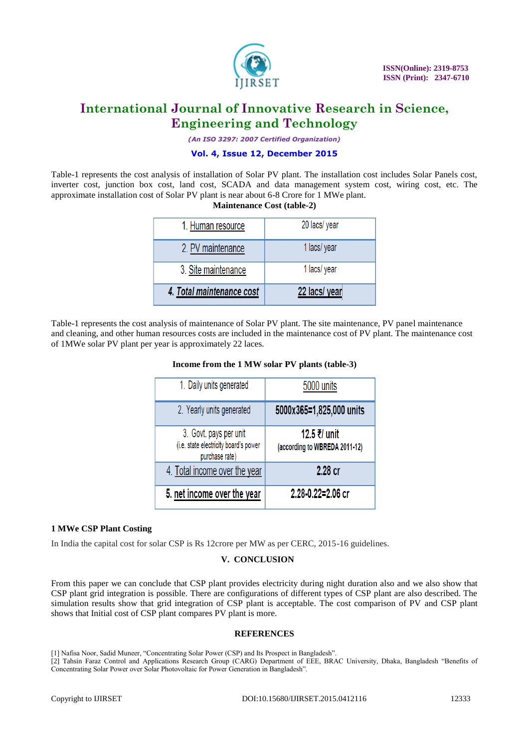

*(An ISO 3297: 2007 Certified Organization)*

#### **Vol. 4, Issue 12, December 2015**

Table-1 represents the cost analysis of installation of Solar PV plant. The installation cost includes Solar Panels cost, inverter cost, junction box cost, land cost, SCADA and data management system cost, wiring cost, etc. The approximate installation cost of Solar PV plant is near about 6-8 Crore for 1 MWe plant.

**Maintenance Cost (table-2)**

| 3. Site maintenance                    | 1 lacs/ year                  |
|----------------------------------------|-------------------------------|
|                                        |                               |
| 1. Human resource<br>2. PV maintenance | 20 lacs/ year<br>1 lacs/ year |

Table-1 represents the cost analysis of maintenance of Solar PV plant. The site maintenance, PV panel maintenance and cleaning, and other human resources costs are included in the maintenance cost of PV plant. The maintenance cost of 1MWe solar PV plant per year is approximately 22 laces.

#### **Income from the 1 MW solar PV plants (table-3)**

| 1. Daily units generated                                                          | 5000 units                                    |
|-----------------------------------------------------------------------------------|-----------------------------------------------|
| 2. Yearly units generated                                                         | 5000x365=1,825,000 units                      |
| 3. Govt. pays per unit<br>(i.e. state electricity board's power<br>purchase rate) | 12.5 ₹/ unit<br>(according to WBREDA 2011-12) |
| 4. Total income over the year                                                     | 2.28 cr                                       |
| 5. net income over the year                                                       | 2.28-0.22=2.06 cr                             |

#### **1 MWe CSP Plant Costing**

In India the capital cost for solar CSP is Rs 12crore per MW as per CERC, 2015-16 guidelines.

### **V. CONCLUSION**

From this paper we can conclude that CSP plant provides electricity during night duration also and we also show that CSP plant grid integration is possible. There are configurations of different types of CSP plant are also described. The simulation results show that grid integration of CSP plant is acceptable. The cost comparison of PV and CSP plant shows that Initial cost of CSP plant compares PV plant is more.

#### **REFERENCES**

- [1] Nafisa Noor, Sadid Muneer, "Concentrating Solar Power (CSP) and Its Prospect in Bangladesh".
- [2] Tahsin Faraz Control and Applications Research Group (CARG) Department of EEE, BRAC University, Dhaka, Bangladesh "Benefits of Concentrating Solar Power over Solar Photovoltaic for Power Generation in Bangladesh".